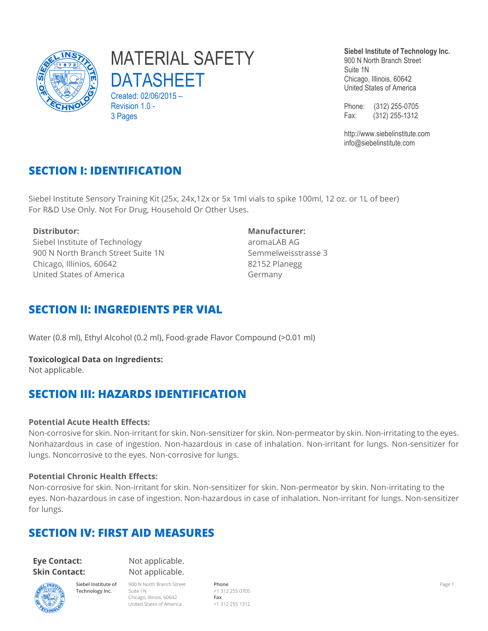

# MATERIAL SAFETY DATASHEET

Created: 02/06/2015 – Revision 1.0 -3 Pages

**Siebel Institute of Technology Inc.**

900 N North Branch Street Suite 1N Chicago, Illinois, 60642 United States of America

Phone: (312) 255-0705 Fax: (312) 255-1312

http://www.siebelinstitute.com info@siebelinstitute.com

## **SECTION I: IDENTIFICATION**

Siebel Institute Sensory Training Kit (25x, 24x,12x or 5x 1ml vials to spike 100ml, 12 oz. or 1L of beer) For R&D Use Only. Not For Drug, Household Or Other Uses.

Siebel Institute of Technology 900 N North Branch Street Suite 1N Chicago, Illinios, 60642 United States of America

#### **Distributor: Manufacturer:**

aromaLAB AG Semmelweisstrasse 3 82152 Planegg Germany

#### **SECTION II: INGREDIENTS PER VIAL**

Water (0.8 ml), Ethyl Alcohol (0.2 ml), Food-grade Flavor Compound (>0.01 ml)

**Toxicological Data on Ingredients:** Not applicable.

## **SECTION III: HAZARDS IDENTIFICATION**

#### **Potential Acute Health Effects:**

Non-corrosive for skin. Non-irritant for skin. Non-sensitizer for skin. Non-permeator by skin. Non-irritating to the eyes. Nonhazardous in case of ingestion. Non-hazardous in case of inhalation. Non-irritant for lungs. Non-sensitizer for lungs. Noncorrosive to the eyes. Non-corrosive for lungs.

#### **Potential Chronic Health Effects:**

Non-corrosive for skin. Non-irritant for skin. Non-sensitizer for skin. Non-permeator by skin. Non-irritating to the eyes. Non-hazardous in case of ingestion. Non-hazardous in case of inhalation. Non-irritant for lungs. Non-sensitizer for lungs.

## **SECTION IV: FIRST AID MEASURES**

#### **Eye Contact:** Not applicable. **Skin Contact:** Not applicable.



**Siebel Institute of Technology Inc.** 900 N North Branch Street Suite 1N Chicago, Illinois, 60642 United States of America

**Phone Fax**

+1 312 255 0705 +1 312 255 1312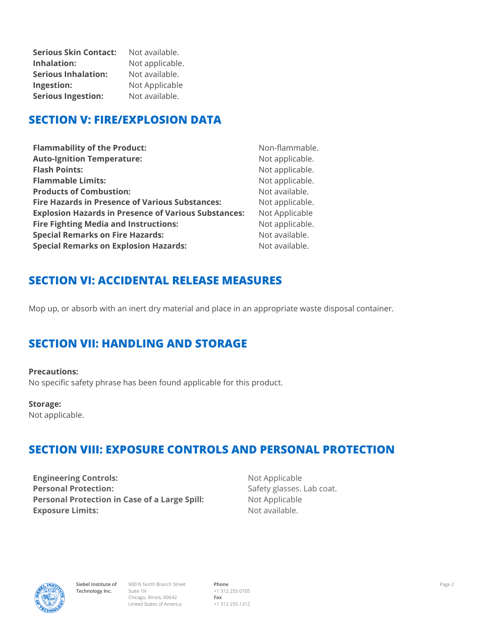**Serious Skin Contact:** Not available. **Inhalation:** Not applicable. **Serious Inhalation:** Not available. **Ingestion:** Not Applicable **Serious Ingestion:** Not available.

## **SECTION V: FIRE/EXPLOSION DATA**

| <b>Flammability of the Product:</b>                         | Non-flammable.  |
|-------------------------------------------------------------|-----------------|
| <b>Auto-Ignition Temperature:</b>                           | Not applicable. |
| <b>Flash Points:</b>                                        | Not applicable. |
| <b>Flammable Limits:</b>                                    | Not applicable. |
| <b>Products of Combustion:</b>                              | Not available.  |
| <b>Fire Hazards in Presence of Various Substances:</b>      | Not applicable. |
| <b>Explosion Hazards in Presence of Various Substances:</b> | Not Applicable  |
| <b>Fire Fighting Media and Instructions:</b>                | Not applicable. |
| <b>Special Remarks on Fire Hazards:</b>                     | Not available.  |
| <b>Special Remarks on Explosion Hazards:</b>                | Not available.  |

## **SECTION VI: ACCIDENTAL RELEASE MEASURES**

Mop up, or absorb with an inert dry material and place in an appropriate waste disposal container.

## **SECTION VII: HANDLING AND STORAGE**

#### **Precautions:**

No specific safety phrase has been found applicable for this product.

#### **Storage:**

Not applicable.

## **SECTION VIII: EXPOSURE CONTROLS AND PERSONAL PROTECTION**

**Engineering Controls:** Not Applicable **Personal Protection:** Safety glasses. Lab coat. **Personal Protection in Case of a Large Spill:** Not Applicable **Exposure Limits:** Not available.



900 N North Branch Street Suite 1N Chicago, Illinois, 60642 United States of America

**Phone** +1 312 255 0705 **Fax** +1 312 255 1312